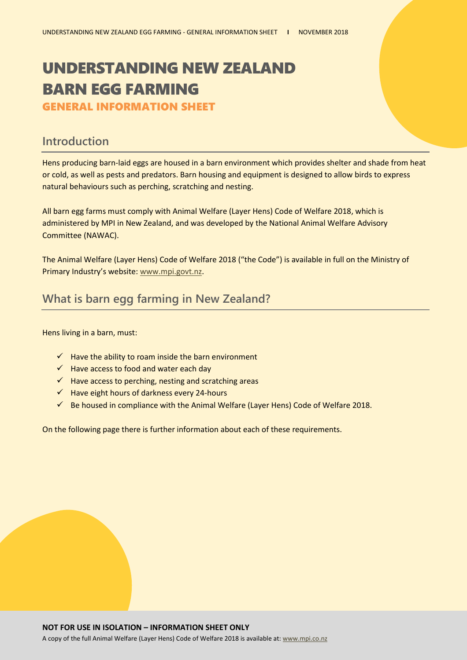# UNDERSTANDING NEW ZEALAND BARN EGG FARMING

GENERAL INFORMATION SHEET

#### **Introduction**

Hens producing barn-laid eggs are housed in a barn environment which provides shelter and shade from heat or cold, as well as pests and predators. Barn housing and equipment is designed to allow birds to express natural behaviours such as perching, scratching and nesting.

All barn egg farms must comply with Animal Welfare (Layer Hens) Code of Welfare 2018, which is administered by MPI in New Zealand, and was developed by the National Animal Welfare Advisory Committee (NAWAC).

The Animal Welfare (Layer Hens) Code of Welfare 2018 ("the Code") is available in full on the Ministry of Primary Industry's website: [www.mpi.govt.nz.](http://www.mpi.govt.nz/)

## **What is barn egg farming in New Zealand?**

Hens living in a barn, must:

- $\checkmark$  Have the ability to roam inside the barn environment
- $\checkmark$  Have access to food and water each day
- $\checkmark$  Have access to perching, nesting and scratching areas
- $\checkmark$  Have eight hours of darkness every 24-hours
- $\checkmark$  Be housed in compliance with the Animal Welfare (Layer Hens) Code of Welfare 2018.

On the following page there is further information about each of these requirements.